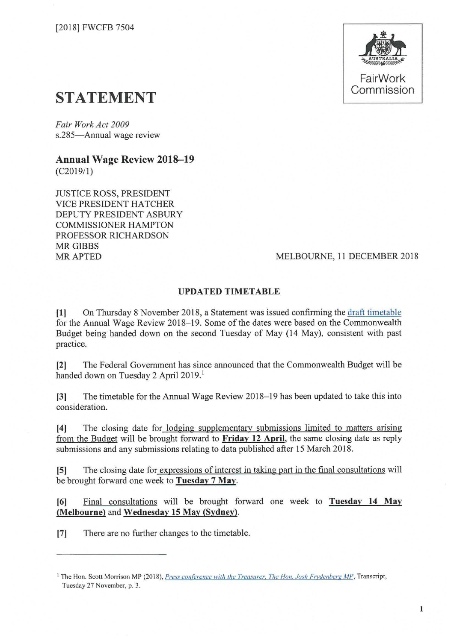

## **STATEMENT**

*Fair Work Act 2009*  s.285-Annual wage review

**Annual Wage Review 2018-19**  (C2019/1)

JUSTICE ROSS, PRESIDENT VICE PRESIDENT HATCHER DEPUTY PRESIDENT ASBURY COMMISSIONER HAMPTON PROFESSOR RICHARDSON **MR GIBBS** MRAPTED

## MELBOURNE, 11 DECEMBER 2018

## **UPDATED TIMETABLE**

**[1]** On Thursday 8 November 2018, a Statement was issued confirming the [draft timetable](https://www.fwc.gov.au/documents/wage-reviews/2018-19/decisions/2018fwcfb6078.pdf)  for the Annual Wage Review 2018-19. Some of the dates were based on the Commonwealth Budget being handed down on the second Tuesday of May (14 May), consistent with past practice.

**[2]** The Federal Government has since announced that the Commonwealth Budget will be handed down on Tuesday 2 April 2019.<sup>1</sup>

[3] The timetable for the Annual Wage Review 2018-19 has been updated to take this into consideration.

**[4]** The closing date for lodging supplementary submissions limited to matters arising from the Budget will be brought forward to **Friday 12 April,** the same closing date as reply submissions and any submissions relating to data published after 15 March 2018.

**[5]** The closing date for expressions of interest in taking part in the final consultations will be brought forward one week to **Tuesday 7 May.** 

[6] Final consultations will be brought forward one week to **Tuesday 14 May (Melbourne)** and **Wednesday 15 May (Sydney).** 

[7] There are no further changes to the timetable.

<sup>&</sup>lt;sup>1</sup> The Hon. Scott Morrison MP (2018), *Press conference with the Treasurer. The Hon. Josh Frydenberg MP*, Transcript, Tuesday 27 November, p. 3.